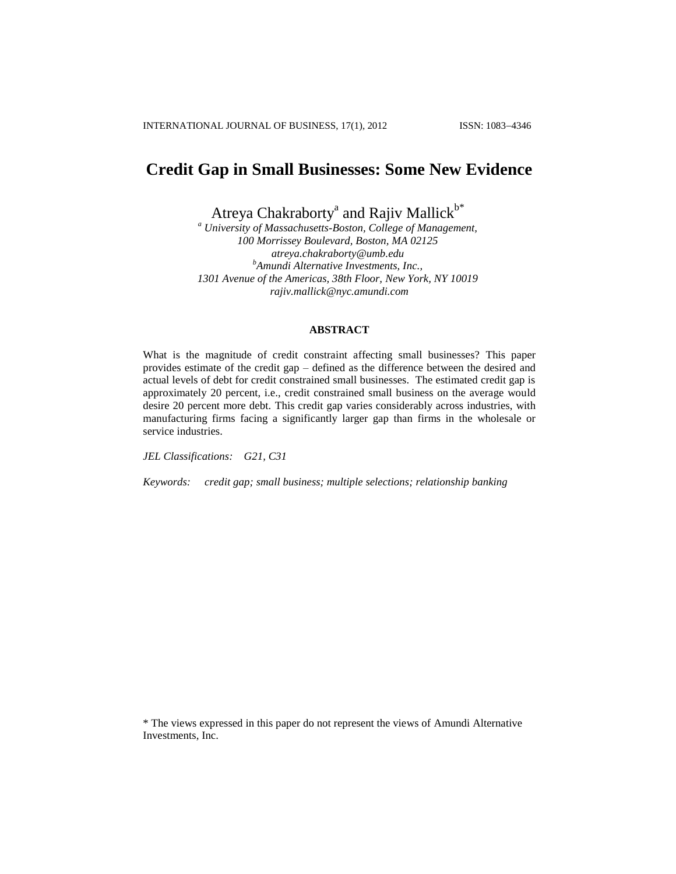# **Credit Gap in Small Businesses: Some New Evidence**

Atreya Chakraborty<sup>a</sup> and Rajiv Mallick<sup>b\*</sup>

*<sup>a</sup> University of Massachusetts-Boston, College of Management, 100 Morrissey Boulevard, Boston, MA 02125 atreya.chakraborty@umb.edu <sup>b</sup>Amundi Alternative Investments, Inc., 1301 Avenue of the Americas, 38th Floor, New York, NY 10019 rajiv.mallick@nyc.amundi.com*

# **ABSTRACT**

What is the magnitude of credit constraint affecting small businesses? This paper provides estimate of the credit gap – defined as the difference between the desired and actual levels of debt for credit constrained small businesses. The estimated credit gap is approximately 20 percent, i.e., credit constrained small business on the average would desire 20 percent more debt. This credit gap varies considerably across industries, with manufacturing firms facing a significantly larger gap than firms in the wholesale or service industries.

*JEL Classifications: G21, C31*

*Keywords: credit gap; small business; multiple selections; relationship banking*

\* The views expressed in this paper do not represent the views of Amundi Alternative Investments, Inc.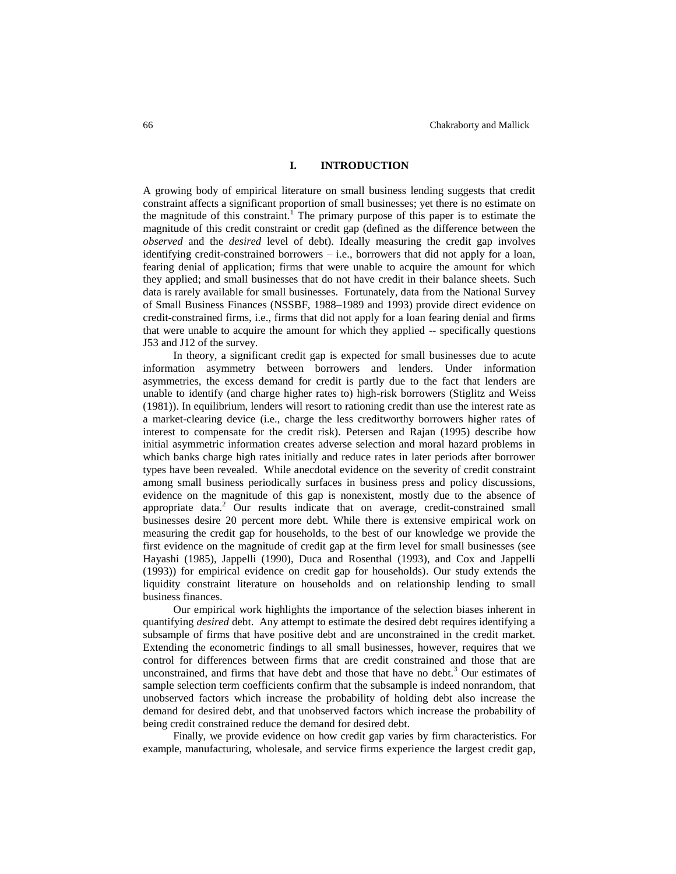## **I. INTRODUCTION**

A growing body of empirical literature on small business lending suggests that credit constraint affects a significant proportion of small businesses; yet there is no estimate on the magnitude of this constraint.<sup>1</sup> The primary purpose of this paper is to estimate the magnitude of this credit constraint or credit gap (defined as the difference between the *observed* and the *desired* level of debt). Ideally measuring the credit gap involves identifying credit-constrained borrowers – i.e., borrowers that did not apply for a loan, fearing denial of application; firms that were unable to acquire the amount for which they applied; and small businesses that do not have credit in their balance sheets. Such data is rarely available for small businesses. Fortunately, data from the National Survey of Small Business Finances (NSSBF, 1988–1989 and 1993) provide direct evidence on credit-constrained firms, i.e., firms that did not apply for a loan fearing denial and firms that were unable to acquire the amount for which they applied -- specifically questions J53 and J12 of the survey.

In theory, a significant credit gap is expected for small businesses due to acute information asymmetry between borrowers and lenders. Under information asymmetries, the excess demand for credit is partly due to the fact that lenders are unable to identify (and charge higher rates to) high-risk borrowers (Stiglitz and Weiss (1981)). In equilibrium, lenders will resort to rationing credit than use the interest rate as a market-clearing device (i.e., charge the less creditworthy borrowers higher rates of interest to compensate for the credit risk). Petersen and Rajan (1995) describe how initial asymmetric information creates adverse selection and moral hazard problems in which banks charge high rates initially and reduce rates in later periods after borrower types have been revealed. While anecdotal evidence on the severity of credit constraint among small business periodically surfaces in business press and policy discussions, evidence on the magnitude of this gap is nonexistent, mostly due to the absence of appropriate data.<sup>2</sup> Our results indicate that on average, credit-constrained small businesses desire 20 percent more debt. While there is extensive empirical work on measuring the credit gap for households, to the best of our knowledge we provide the first evidence on the magnitude of credit gap at the firm level for small businesses (see Hayashi (1985), Jappelli (1990), Duca and Rosenthal (1993), and Cox and Jappelli (1993)) for empirical evidence on credit gap for households). Our study extends the liquidity constraint literature on households and on relationship lending to small business finances.

Our empirical work highlights the importance of the selection biases inherent in quantifying *desired* debt. Any attempt to estimate the desired debt requires identifying a subsample of firms that have positive debt and are unconstrained in the credit market. Extending the econometric findings to all small businesses, however, requires that we control for differences between firms that are credit constrained and those that are unconstrained, and firms that have debt and those that have no debt.<sup>3</sup> Our estimates of sample selection term coefficients confirm that the subsample is indeed nonrandom, that unobserved factors which increase the probability of holding debt also increase the demand for desired debt, and that unobserved factors which increase the probability of being credit constrained reduce the demand for desired debt.

Finally, we provide evidence on how credit gap varies by firm characteristics. For example, manufacturing, wholesale, and service firms experience the largest credit gap,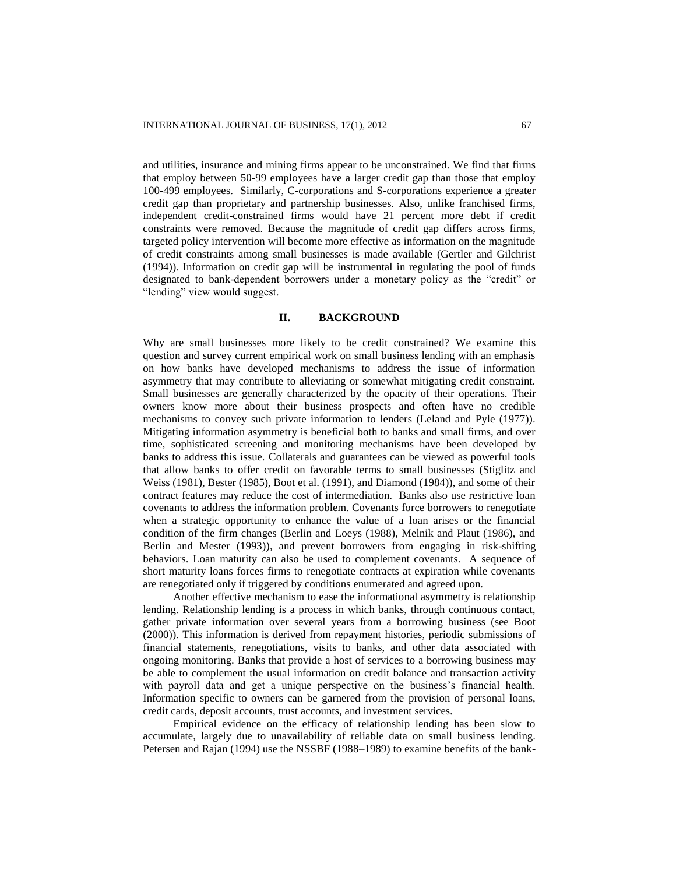and utilities, insurance and mining firms appear to be unconstrained. We find that firms that employ between 50-99 employees have a larger credit gap than those that employ 100-499 employees. Similarly, C-corporations and S-corporations experience a greater credit gap than proprietary and partnership businesses. Also, unlike franchised firms, independent credit-constrained firms would have 21 percent more debt if credit constraints were removed. Because the magnitude of credit gap differs across firms, targeted policy intervention will become more effective as information on the magnitude of credit constraints among small businesses is made available (Gertler and Gilchrist (1994)). Information on credit gap will be instrumental in regulating the pool of funds designated to bank-dependent borrowers under a monetary policy as the "credit" or "lending" view would suggest.

#### **II. BACKGROUND**

Why are small businesses more likely to be credit constrained? We examine this question and survey current empirical work on small business lending with an emphasis on how banks have developed mechanisms to address the issue of information asymmetry that may contribute to alleviating or somewhat mitigating credit constraint. Small businesses are generally characterized by the opacity of their operations. Their owners know more about their business prospects and often have no credible mechanisms to convey such private information to lenders (Leland and Pyle (1977)). Mitigating information asymmetry is beneficial both to banks and small firms, and over time, sophisticated screening and monitoring mechanisms have been developed by banks to address this issue. Collaterals and guarantees can be viewed as powerful tools that allow banks to offer credit on favorable terms to small businesses (Stiglitz and Weiss (1981), Bester (1985), Boot et al. (1991), and Diamond (1984)), and some of their contract features may reduce the cost of intermediation. Banks also use restrictive loan covenants to address the information problem. Covenants force borrowers to renegotiate when a strategic opportunity to enhance the value of a loan arises or the financial condition of the firm changes (Berlin and Loeys (1988), Melnik and Plaut (1986), and Berlin and Mester (1993)), and prevent borrowers from engaging in risk-shifting behaviors. Loan maturity can also be used to complement covenants. A sequence of short maturity loans forces firms to renegotiate contracts at expiration while covenants are renegotiated only if triggered by conditions enumerated and agreed upon.

Another effective mechanism to ease the informational asymmetry is relationship lending. Relationship lending is a process in which banks, through continuous contact, gather private information over several years from a borrowing business (see Boot (2000)). This information is derived from repayment histories, periodic submissions of financial statements, renegotiations, visits to banks, and other data associated with ongoing monitoring. Banks that provide a host of services to a borrowing business may be able to complement the usual information on credit balance and transaction activity with payroll data and get a unique perspective on the business's financial health. Information specific to owners can be garnered from the provision of personal loans, credit cards, deposit accounts, trust accounts, and investment services.

Empirical evidence on the efficacy of relationship lending has been slow to accumulate, largely due to unavailability of reliable data on small business lending. Petersen and Rajan (1994) use the NSSBF (1988–1989) to examine benefits of the bank-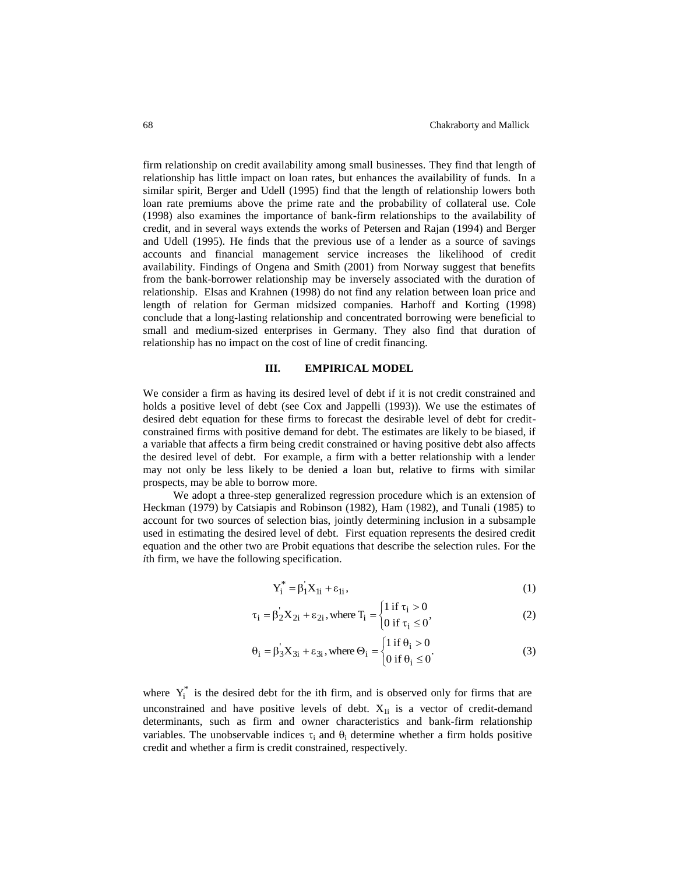firm relationship on credit availability among small businesses. They find that length of relationship has little impact on loan rates, but enhances the availability of funds. In a similar spirit, Berger and Udell (1995) find that the length of relationship lowers both loan rate premiums above the prime rate and the probability of collateral use. Cole (1998) also examines the importance of bank-firm relationships to the availability of credit, and in several ways extends the works of Petersen and Rajan (1994) and Berger and Udell (1995). He finds that the previous use of a lender as a source of savings accounts and financial management service increases the likelihood of credit availability. Findings of Ongena and Smith (2001) from Norway suggest that benefits from the bank-borrower relationship may be inversely associated with the duration of relationship. Elsas and Krahnen (1998) do not find any relation between loan price and length of relation for German midsized companies. Harhoff and Korting (1998) conclude that a long-lasting relationship and concentrated borrowing were beneficial to small and medium-sized enterprises in Germany. They also find that duration of relationship has no impact on the cost of line of credit financing.

### **III. EMPIRICAL MODEL**

We consider a firm as having its desired level of debt if it is not credit constrained and holds a positive level of debt (see Cox and Jappelli (1993)). We use the estimates of desired debt equation for these firms to forecast the desirable level of debt for creditconstrained firms with positive demand for debt. The estimates are likely to be biased, if a variable that affects a firm being credit constrained or having positive debt also affects the desired level of debt. For example, a firm with a better relationship with a lender may not only be less likely to be denied a loan but, relative to firms with similar prospects, may be able to borrow more.

We adopt a three-step generalized regression procedure which is an extension of Heckman (1979) by Catsiapis and Robinson (1982), Ham (1982), and Tunali (1985) to account for two sources of selection bias, jointly determining inclusion in a subsample used in estimating the desired level of debt. First equation represents the desired credit equation and the other two are Probit equations that describe the selection rules. For the *i*th firm, we have the following specification.

$$
Y_i^* = \beta_1 X_{1i} + \varepsilon_{1i},\tag{1}
$$

$$
\tau_{i} = \beta_{2}^{'} X_{2i} + \varepsilon_{2i}, \text{where } T_{i} = \begin{cases} 1 \text{ if } \tau_{i} > 0\\ 0 \text{ if } \tau_{i} \le 0 \end{cases}
$$
 (2)

$$
\theta_{i} = \beta_{3}^{'}X_{3i} + \varepsilon_{3i}, \text{ where } \Theta_{i} = \begin{cases} 1 \text{ if } \theta_{i} > 0\\ 0 \text{ if } \theta_{i} \leq 0 \end{cases}
$$
 (3)

where  $Y_i^*$  is the desired debt for the ith firm, and is observed only for firms that are unconstrained and have positive levels of debt.  $X_{1i}$  is a vector of credit-demand determinants, such as firm and owner characteristics and bank-firm relationship variables. The unobservable indices  $\tau_i$  and  $\theta_i$  determine whether a firm holds positive credit and whether a firm is credit constrained, respectively.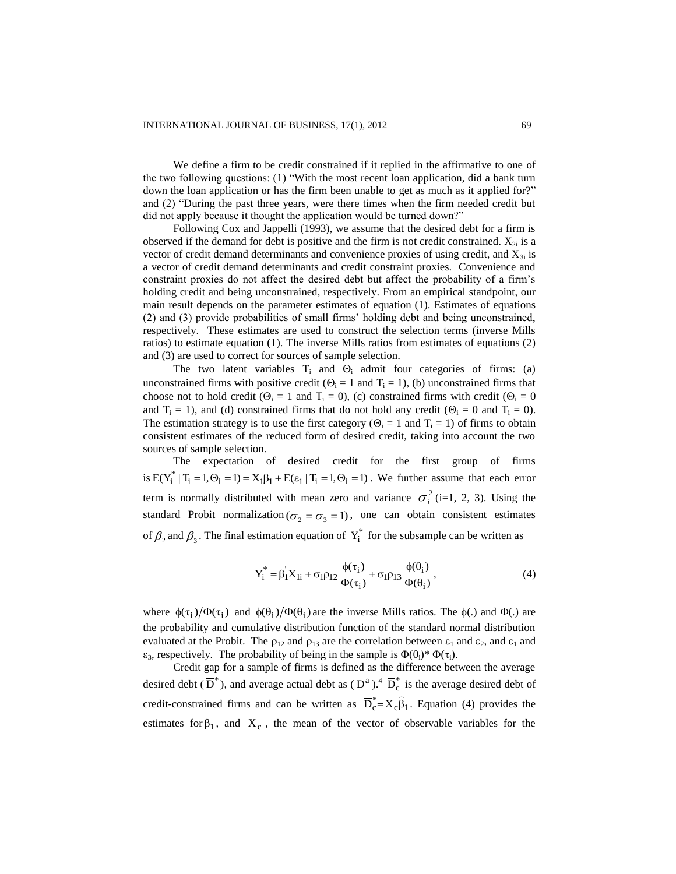We define a firm to be credit constrained if it replied in the affirmative to one of the two following questions: (1) "With the most recent loan application, did a bank turn down the loan application or has the firm been unable to get as much as it applied for?" and (2) "During the past three years, were there times when the firm needed credit but did not apply because it thought the application would be turned down?"

Following Cox and Jappelli (1993), we assume that the desired debt for a firm is observed if the demand for debt is positive and the firm is not credit constrained.  $X_{2i}$  is a vector of credit demand determinants and convenience proxies of using credit, and  $X_{3i}$  is a vector of credit demand determinants and credit constraint proxies. Convenience and constraint proxies do not affect the desired debt but affect the probability of a firm's holding credit and being unconstrained, respectively. From an empirical standpoint, our main result depends on the parameter estimates of equation (1). Estimates of equations (2) and (3) provide probabilities of small firms' holding debt and being unconstrained, respectively. These estimates are used to construct the selection terms (inverse Mills ratios) to estimate equation (1). The inverse Mills ratios from estimates of equations (2) and (3) are used to correct for sources of sample selection.

The two latent variables  $T_i$  and  $\Theta_i$  admit four categories of firms: (a) unconstrained firms with positive credit ( $\Theta_i = 1$  and  $T_i = 1$ ), (b) unconstrained firms that choose not to hold credit ( $\Theta_i = 1$  and  $T_i = 0$ ), (c) constrained firms with credit ( $\Theta_i = 0$ and  $T_i = 1$ ), and (d) constrained firms that do not hold any credit ( $\Theta_i = 0$  and  $T_i = 0$ ). The estimation strategy is to use the first category ( $\Theta_i = 1$  and  $T_i = 1$ ) of firms to obtain consistent estimates of the reduced form of desired credit, taking into account the two sources of sample selection.

The expectation of desired credit for the first group of firms is  $E(Y_i^* | T_i = 1, \Theta_i = 1) = X_1 \beta_1 + E(\epsilon_1 | T_i = 1, \Theta_i = 1)$ . We further assume that each error term is normally distributed with mean zero and variance  $\sigma_i^2$  (i=1, 2, 3). Using the standard Probit normalization ( $\sigma_2 = \sigma_3 = 1$ ), one can obtain consistent estimates of  $\beta_2$  and  $\beta_3$ . The final estimation equation of  $Y_i^*$  for the subsample can be written as

$$
Y_i^* = \beta_1 X_{1i} + \sigma_1 \rho_{12} \frac{\phi(\tau_i)}{\Phi(\tau_i)} + \sigma_1 \rho_{13} \frac{\phi(\theta_i)}{\Phi(\theta_i)},
$$
\n(4)

where  $\phi(\tau_i)/\Phi(\tau_i)$  and  $\phi(\theta_i)/\Phi(\theta_i)$  are the inverse Mills ratios. The  $\phi(.)$  and  $\Phi(.)$  are the probability and cumulative distribution function of the standard normal distribution evaluated at the Probit. The  $\rho_{12}$  and  $\rho_{13}$  are the correlation between  $\varepsilon_1$  and  $\varepsilon_2$ , and  $\varepsilon_1$  and  $\varepsilon_3$ , respectively. The probability of being in the sample is  $\Phi(\theta_i)^* \Phi(\tau_i)$ .

Credit gap for a sample of firms is defined as the difference between the average desired debt ( $\overline{D}^*$ ), and average actual debt as ( $\overline{D}^a$ ).<sup>4</sup>  $\overline{D}^*_c$  is the average desired debt of credit-constrained firms and can be written as  $\overline{D}_c^* = \overline{X_c \beta_1}$ . Equation (4) provides the estimates for  $\beta_1$ , and  $X_c$ , the mean of the vector of observable variables for the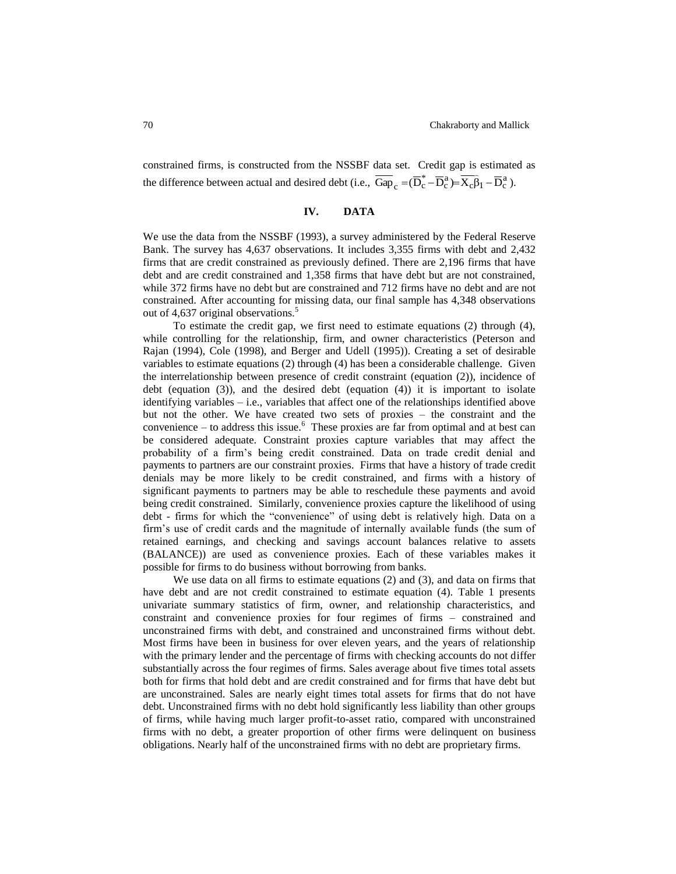constrained firms, is constructed from the NSSBF data set. Credit gap is estimated as the difference between actual and desired debt (i.e.,  $\overline{Gap}_c = (\overline{D}_c^* - \overline{D}_c^a) = \overline{X_c \beta_1} - \overline{D}_c^a$  $\frac{1}{2}$ ).

# **IV. DATA**

We use the data from the NSSBF (1993), a survey administered by the Federal Reserve Bank. The survey has 4,637 observations. It includes 3,355 firms with debt and 2,432 firms that are credit constrained as previously defined. There are 2,196 firms that have debt and are credit constrained and 1,358 firms that have debt but are not constrained, while 372 firms have no debt but are constrained and 712 firms have no debt and are not constrained. After accounting for missing data, our final sample has 4,348 observations out of 4,637 original observations.<sup>5</sup>

To estimate the credit gap, we first need to estimate equations (2) through (4), while controlling for the relationship, firm, and owner characteristics (Peterson and Rajan (1994), Cole (1998), and Berger and Udell (1995)). Creating a set of desirable variables to estimate equations (2) through (4) has been a considerable challenge. Given the interrelationship between presence of credit constraint (equation (2)), incidence of debt (equation (3)), and the desired debt (equation (4)) it is important to isolate identifying variables  $-$  i.e., variables that affect one of the relationships identified above but not the other. We have created two sets of proxies – the constraint and the convenience  $-$  to address this issue.<sup>6</sup> These proxies are far from optimal and at best can be considered adequate. Constraint proxies capture variables that may affect the probability of a firm's being credit constrained. Data on trade credit denial and payments to partners are our constraint proxies. Firms that have a history of trade credit denials may be more likely to be credit constrained, and firms with a history of significant payments to partners may be able to reschedule these payments and avoid being credit constrained. Similarly, convenience proxies capture the likelihood of using debt - firms for which the "convenience" of using debt is relatively high. Data on a firm's use of credit cards and the magnitude of internally available funds (the sum of retained earnings, and checking and savings account balances relative to assets (BALANCE)) are used as convenience proxies. Each of these variables makes it possible for firms to do business without borrowing from banks.

We use data on all firms to estimate equations (2) and (3), and data on firms that have debt and are not credit constrained to estimate equation (4). Table 1 presents univariate summary statistics of firm, owner, and relationship characteristics, and constraint and convenience proxies for four regimes of firms – constrained and unconstrained firms with debt, and constrained and unconstrained firms without debt. Most firms have been in business for over eleven years, and the years of relationship with the primary lender and the percentage of firms with checking accounts do not differ substantially across the four regimes of firms. Sales average about five times total assets both for firms that hold debt and are credit constrained and for firms that have debt but are unconstrained. Sales are nearly eight times total assets for firms that do not have debt. Unconstrained firms with no debt hold significantly less liability than other groups of firms, while having much larger profit-to-asset ratio, compared with unconstrained firms with no debt, a greater proportion of other firms were delinquent on business obligations. Nearly half of the unconstrained firms with no debt are proprietary firms.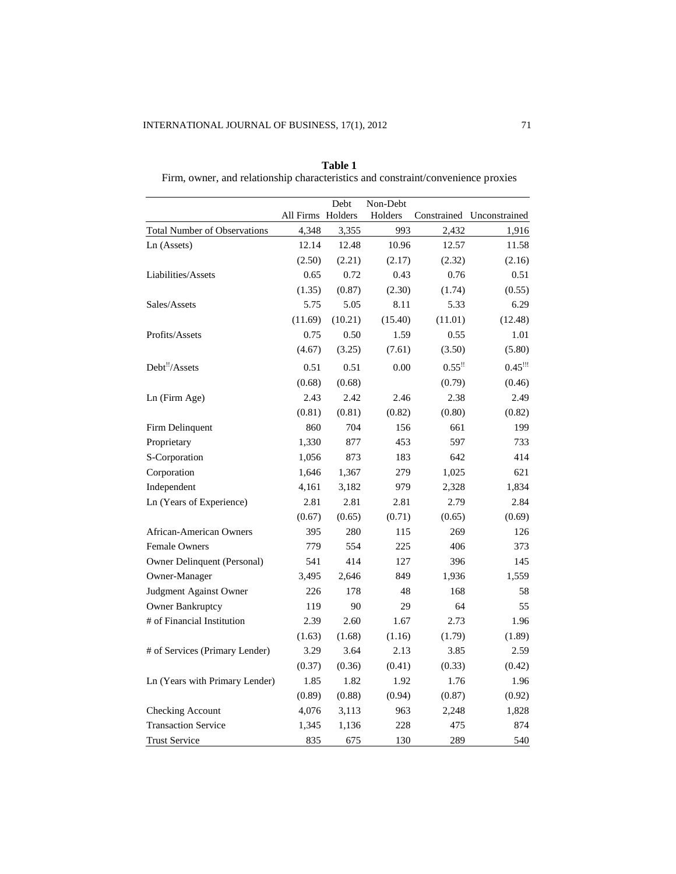|                                     | All Firms Holders | Debt    | Non-Debt<br>Holders | Constrained          | Unconstrained |
|-------------------------------------|-------------------|---------|---------------------|----------------------|---------------|
| <b>Total Number of Observations</b> | 4,348             | 3,355   | 993                 | 2,432                | 1,916         |
| Ln (Assets)                         | 12.14             | 12.48   | 10.96               | 12.57                | 11.58         |
|                                     | (2.50)            | (2.21)  | (2.17)              | (2.32)               | (2.16)        |
| Liabilities/Assets                  | 0.65              | 0.72    | 0.43                | 0.76                 | 0.51          |
|                                     | (1.35)            | (0.87)  | (2.30)              | (1.74)               | (0.55)        |
| Sales/Assets                        | 5.75              | 5.05    | 8.11                | 5.33                 | 6.29          |
|                                     | (11.69)           | (10.21) | (15.40)             | (11.01)              | (12.48)       |
| Profits/Assets                      | 0.75              | 0.50    | 1.59                | 0.55                 | 1.01          |
|                                     | (4.67)            | (3.25)  | (7.61)              | (3.50)               | (5.80)        |
| Debt"/Assets                        | 0.51              | 0.51    | 0.00                | $0.55$ <sup>!!</sup> | $0.45$ !!!    |
|                                     | (0.68)            | (0.68)  |                     | (0.79)               | (0.46)        |
| Ln (Firm Age)                       | 2.43              | 2.42    | 2.46                | 2.38                 | 2.49          |
|                                     | (0.81)            | (0.81)  | (0.82)              | (0.80)               | (0.82)        |
| Firm Delinquent                     | 860               | 704     | 156                 | 661                  | 199           |
| Proprietary                         | 1,330             | 877     | 453                 | 597                  | 733           |
| S-Corporation                       | 1,056             | 873     | 183                 | 642                  | 414           |
| Corporation                         | 1,646             | 1,367   | 279                 | 1,025                | 621           |
| Independent                         | 4,161             | 3,182   | 979                 | 2,328                | 1,834         |
| Ln (Years of Experience)            | 2.81              | 2.81    | 2.81                | 2.79                 | 2.84          |
|                                     | (0.67)            | (0.65)  | (0.71)              | (0.65)               | (0.69)        |
| <b>African-American Owners</b>      | 395               | 280     | 115                 | 269                  | 126           |
| Female Owners                       | 779               | 554     | 225                 | 406                  | 373           |
| Owner Delinquent (Personal)         | 541               | 414     | 127                 | 396                  | 145           |
| Owner-Manager                       | 3,495             | 2,646   | 849                 | 1,936                | 1,559         |
| Judgment Against Owner              | 226               | 178     | 48                  | 168                  | 58            |
| <b>Owner Bankruptcy</b>             | 119               | 90      | 29                  | 64                   | 55            |
| # of Financial Institution          | 2.39              | 2.60    | 1.67                | 2.73                 | 1.96          |
|                                     | (1.63)            | (1.68)  | (1.16)              | (1.79)               | (1.89)        |
| # of Services (Primary Lender)      | 3.29              | 3.64    | 2.13                | 3.85                 | 2.59          |
|                                     | (0.37)            | (0.36)  | (0.41)              | (0.33)               | (0.42)        |
| Ln (Years with Primary Lender)      | 1.85              | 1.82    | 1.92                | 1.76                 | 1.96          |
|                                     | (0.89)            | (0.88)  | (0.94)              | (0.87)               | (0.92)        |
| Checking Account                    | 4,076             | 3,113   | 963                 | 2,248                | 1,828         |
| <b>Transaction Service</b>          | 1,345             | 1,136   | 228                 | 475                  | 874           |
| <b>Trust Service</b>                | 835               | 675     | 130                 | 289                  | 540           |

**Table 1** Firm, owner, and relationship characteristics and constraint/convenience proxies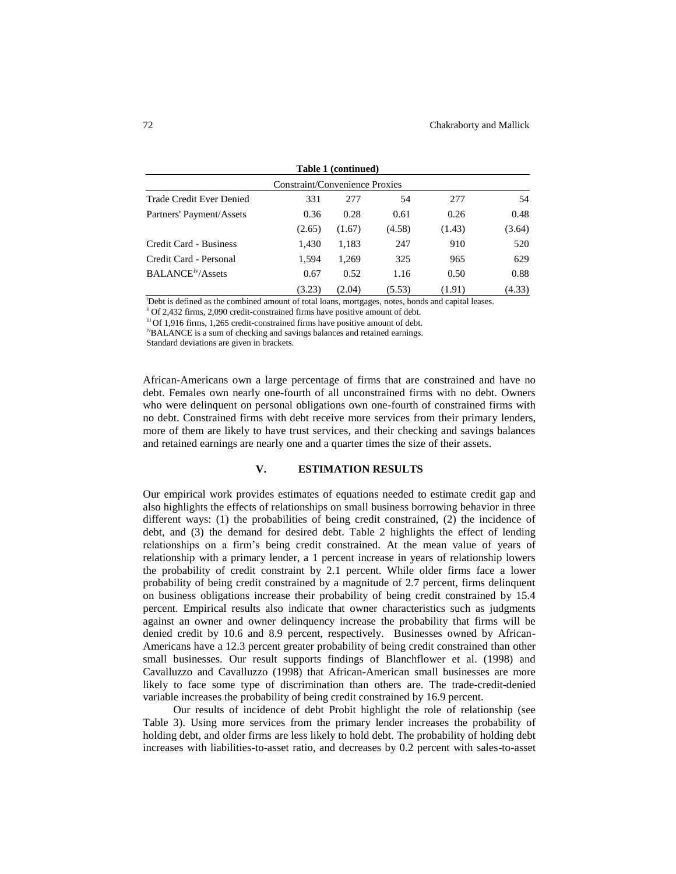| Table 1 (continued)<br>Constraint/Convenience Proxies |        |        |        |        |        |
|-------------------------------------------------------|--------|--------|--------|--------|--------|
|                                                       |        |        |        |        |        |
| Partners' Payment/Assets                              | 0.36   | 0.28   | 0.61   | 0.26   | 0.48   |
|                                                       | (2.65) | (1.67) | (4.58) | (1.43) | (3.64) |
| Credit Card - Business                                | 1,430  | 1,183  | 247    | 910    | 520    |
| Credit Card - Personal                                | 1.594  | 1,269  | 325    | 965    | 629    |
| <b>BALANCE<sup>iv</sup>/Assets</b>                    | 0.67   | 0.52   | 1.16   | 0.50   | 0.88   |
|                                                       | (3.23) | (2.04) | (5.53) | (1.91) | (4.33) |

<sup>i</sup>Debt is defined as the combined amount of total loans, mortgages, notes, bonds and capital leases.

ii Of 2,432 firms, 2,090 credit-constrained firms have positive amount of debt.

iii Of 1,916 firms, 1,265 credit-constrained firms have positive amount of debt.

ivBALANCE is a sum of checking and savings balances and retained earnings.

Standard deviations are given in brackets.

African-Americans own a large percentage of firms that are constrained and have no debt. Females own nearly one-fourth of all unconstrained firms with no debt. Owners who were delinquent on personal obligations own one-fourth of constrained firms with no debt. Constrained firms with debt receive more services from their primary lenders, more of them are likely to have trust services, and their checking and savings balances and retained earnings are nearly one and a quarter times the size of their assets.

## **V. ESTIMATION RESULTS**

Our empirical work provides estimates of equations needed to estimate credit gap and also highlights the effects of relationships on small business borrowing behavior in three different ways: (1) the probabilities of being credit constrained, (2) the incidence of debt, and (3) the demand for desired debt. Table 2 highlights the effect of lending relationships on a firm's being credit constrained. At the mean value of years of relationship with a primary lender, a 1 percent increase in years of relationship lowers the probability of credit constraint by 2.1 percent. While older firms face a lower probability of being credit constrained by a magnitude of 2.7 percent, firms delinquent on business obligations increase their probability of being credit constrained by 15.4 percent. Empirical results also indicate that owner characteristics such as judgments against an owner and owner delinquency increase the probability that firms will be denied credit by 10.6 and 8.9 percent, respectively. Businesses owned by African-Americans have a 12.3 percent greater probability of being credit constrained than other small businesses. Our result supports findings of Blanchflower et al. (1998) and Cavalluzzo and Cavalluzzo (1998) that African-American small businesses are more likely to face some type of discrimination than others are. The trade-credit-denied variable increases the probability of being credit constrained by 16.9 percent.

Our results of incidence of debt Probit highlight the role of relationship (see Table 3). Using more services from the primary lender increases the probability of holding debt, and older firms are less likely to hold debt. The probability of holding debt increases with liabilities-to-asset ratio, and decreases by 0.2 percent with sales-to-asset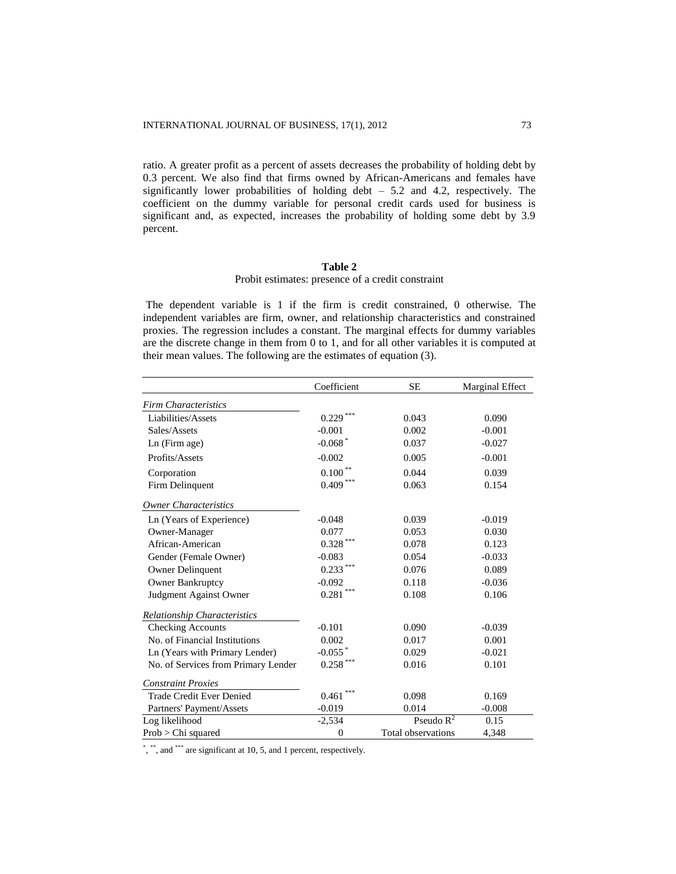ratio. A greater profit as a percent of assets decreases the probability of holding debt by 0.3 percent. We also find that firms owned by African-Americans and females have significantly lower probabilities of holding debt – 5.2 and 4.2, respectively. The coefficient on the dummy variable for personal credit cards used for business is significant and, as expected, increases the probability of holding some debt by 3.9 percent.

# **Table 2**

# Probit estimates: presence of a credit constraint

The dependent variable is 1 if the firm is credit constrained, 0 otherwise. The independent variables are firm, owner, and relationship characteristics and constrained proxies. The regression includes a constant. The marginal effects for dummy variables are the discrete change in them from 0 to 1, and for all other variables it is computed at their mean values. The following are the estimates of equation (3).

|                                     | Coefficient           | SE                 | <b>Marginal Effect</b> |
|-------------------------------------|-----------------------|--------------------|------------------------|
| <b>Firm Characteristics</b>         |                       |                    |                        |
| Liabilities/Assets                  | 0.229                 | 0.043              | 0.090                  |
| Sales/Assets                        | $-0.001$              | 0.002              | $-0.001$               |
| Ln (Firm age)                       | $-0.068$ <sup>*</sup> | 0.037              | $-0.027$               |
| Profits/Assets                      | $-0.002$              | 0.005              | $-0.001$               |
| Corporation                         | 0.100                 | 0.044              | 0.039                  |
| Firm Delinquent                     | $0.409***$            | 0.063              | 0.154                  |
| <b>Owner Characteristics</b>        |                       |                    |                        |
| Ln (Years of Experience)            | $-0.048$              | 0.039              | $-0.019$               |
| Owner-Manager                       | 0.077                 | 0.053              | 0.030                  |
| African-American                    | $0.328***$            | 0.078              | 0.123                  |
| Gender (Female Owner)               | $-0.083$              | 0.054              | $-0.033$               |
| <b>Owner Delinquent</b>             | $0.233***$            | 0.076              | 0.089                  |
| <b>Owner Bankruptcy</b>             | $-0.092$              | 0.118              | $-0.036$               |
| Judgment Against Owner              | ***<br>0.281          | 0.108              | 0.106                  |
| <b>Relationship Characteristics</b> |                       |                    |                        |
| <b>Checking Accounts</b>            | $-0.101$              | 0.090              | $-0.039$               |
| No. of Financial Institutions       | 0.002                 | 0.017              | 0.001                  |
| Ln (Years with Primary Lender)      | $-0.055$ $*$          | 0.029              | $-0.021$               |
| No. of Services from Primary Lender | $0.258$ ***           | 0.016              | 0.101                  |
| <b>Constraint Proxies</b>           |                       |                    |                        |
| <b>Trade Credit Ever Denied</b>     | ***<br>0.461          | 0.098              | 0.169                  |
| Partners' Payment/Assets            | $-0.019$              | 0.014              | $-0.008$               |
| Log likelihood                      | $-2,534$              | Pseudo $R^2$       | 0.15                   |
| Prob > Chi squared                  | $\boldsymbol{0}$      | Total observations | 4,348                  |

\*, \*\*, and \*\*\* are significant at 10, 5, and 1 percent, respectively.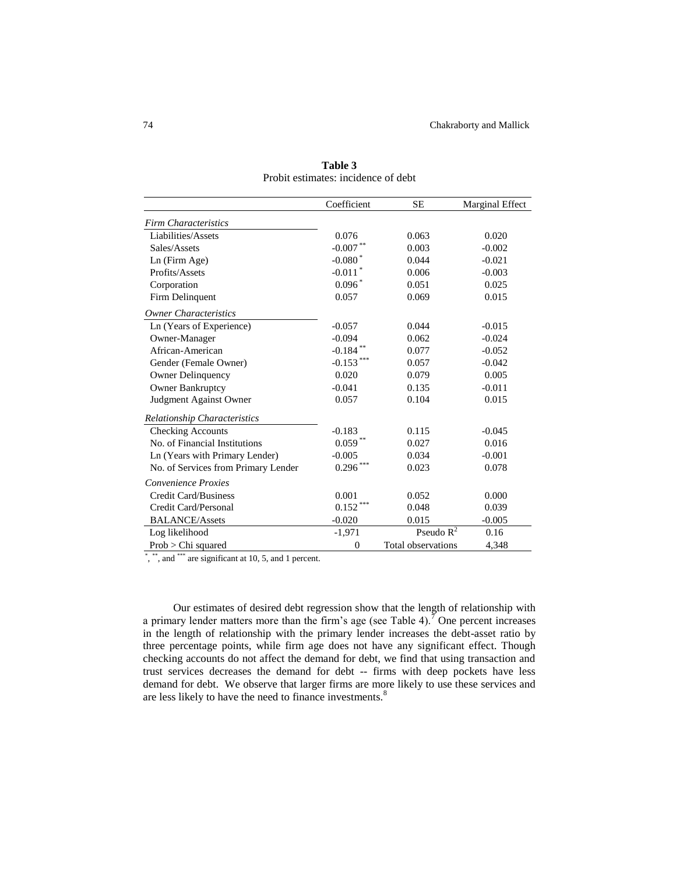|                                     | Coefficient           | <b>SE</b>          | Marginal Effect |
|-------------------------------------|-----------------------|--------------------|-----------------|
| <b>Firm Characteristics</b>         |                       |                    |                 |
| Liabilities/Assets                  | 0.076                 | 0.063              | 0.020           |
| Sales/Assets                        | $-0.007$ **           | 0.003              | $-0.002$        |
| Ln (Firm Age)                       | $-0.080$              | 0.044              | $-0.021$        |
| Profits/Assets                      | $-0.011$ <sup>*</sup> | 0.006              | $-0.003$        |
| Corporation                         | $0.096*$              | 0.051              | 0.025           |
| Firm Delinquent                     | 0.057                 | 0.069              | 0.015           |
| <b>Owner Characteristics</b>        |                       |                    |                 |
| Ln (Years of Experience)            | $-0.057$              | 0.044              | $-0.015$        |
| Owner-Manager                       | $-0.094$              | 0.062              | $-0.024$        |
| African-American                    | $-0.184$ **           | 0.077              | $-0.052$        |
| Gender (Female Owner)               | $-0.153$ ***          | 0.057              | $-0.042$        |
| <b>Owner Delinquency</b>            | 0.020                 | 0.079              | 0.005           |
| Owner Bankruptcy                    | $-0.041$              | 0.135              | $-0.011$        |
| Judgment Against Owner              | 0.057                 | 0.104              | 0.015           |
| Relationship Characteristics        |                       |                    |                 |
| <b>Checking Accounts</b>            | $-0.183$              | 0.115              | $-0.045$        |
| No. of Financial Institutions       | $0.059***$            | 0.027              | 0.016           |
| Ln (Years with Primary Lender)      | $-0.005$              | 0.034              | $-0.001$        |
| No. of Services from Primary Lender | $0.296***$            | 0.023              | 0.078           |
| Convenience Proxies                 |                       |                    |                 |
| Credit Card/Business                | 0.001                 | 0.052              | 0.000           |
| Credit Card/Personal                | $0.152***$            | 0.048              | 0.039           |
| <b>BALANCE/Assets</b>               | $-0.020$              | 0.015              | $-0.005$        |
| Log likelihood                      | $-1,971$              | Pseudo $R^2$       | 0.16            |
| $Prob > Chi$ squared                | $\overline{0}$        | Total observations | 4.348           |

**Table 3** Probit estimates: incidence of debt

\*, \*\*, and \*\*\* are significant at 10, 5, and 1 percent.

Our estimates of desired debt regression show that the length of relationship with a primary lender matters more than the firm's age (see Table 4).<sup>7</sup> One percent increases in the length of relationship with the primary lender increases the debt-asset ratio by three percentage points, while firm age does not have any significant effect. Though checking accounts do not affect the demand for debt, we find that using transaction and trust services decreases the demand for debt -- firms with deep pockets have less demand for debt. We observe that larger firms are more likely to use these services and are less likely to have the need to finance investments.<sup>8</sup>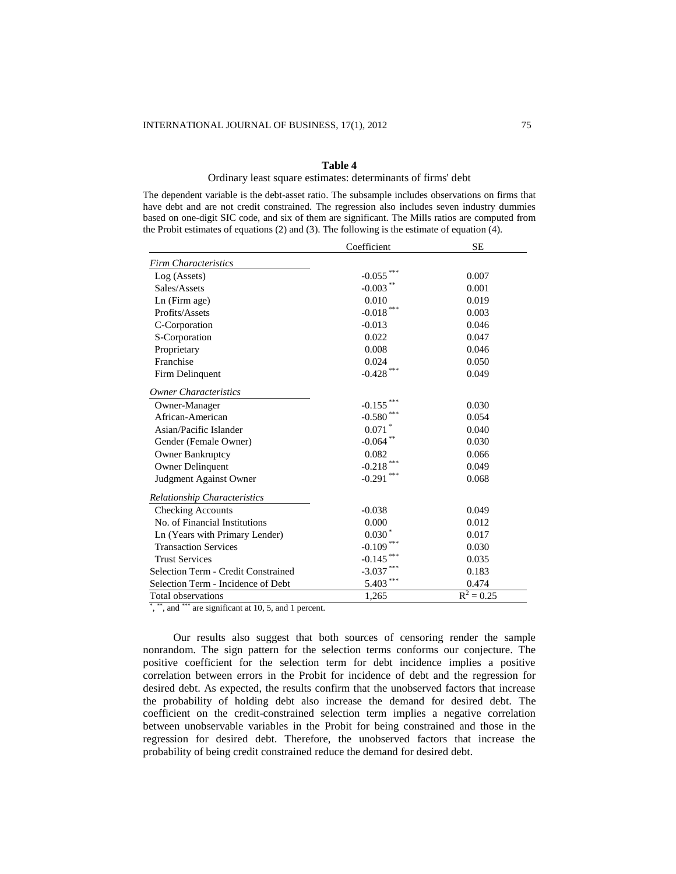## **Table 4**

#### Ordinary least square estimates: determinants of firms' debt

The dependent variable is the debt-asset ratio. The subsample includes observations on firms that have debt and are not credit constrained. The regression also includes seven industry dummies based on one-digit SIC code, and six of them are significant. The Mills ratios are computed from the Probit estimates of equations (2) and (3). The following is the estimate of equation (4).

|                                     | Coefficient  | <b>SE</b>    |
|-------------------------------------|--------------|--------------|
| <b>Firm Characteristics</b>         |              |              |
| Log (Assets)                        | $-0.055$     | 0.007        |
| Sales/Assets                        | $-0.003$ **  | 0.001        |
| Ln (Firm age)                       | 0.010        | 0.019        |
| Profits/Assets                      | $-0.018$ *** | 0.003        |
| C-Corporation                       | $-0.013$     | 0.046        |
| S-Corporation                       | 0.022        | 0.047        |
| Proprietary                         | 0.008        | 0.046        |
| Franchise                           | 0.024        | 0.050        |
| Firm Delinquent                     | $-0.428$ *** | 0.049        |
| <b>Owner Characteristics</b>        |              |              |
| Owner-Manager                       | $-0.155$     | 0.030        |
| African-American                    | $-0.580$     | 0.054        |
| Asian/Pacific Islander              | 0.071        | 0.040        |
| Gender (Female Owner)               | $-0.064$ **  | 0.030        |
| <b>Owner Bankruptcy</b>             | 0.082        | 0.066        |
| <b>Owner Delinquent</b>             | $-0.218$     | 0.049        |
| Judgment Against Owner              | $-0.291$ *** | 0.068        |
| <b>Relationship Characteristics</b> |              |              |
| <b>Checking Accounts</b>            | $-0.038$     | 0.049        |
| No. of Financial Institutions       | 0.000        | 0.012        |
| Ln (Years with Primary Lender)      | $0.030*$     | 0.017        |
| <b>Transaction Services</b>         | $-0.109$     | 0.030        |
| <b>Trust Services</b>               | $-0.145$     | 0.035        |
| Selection Term - Credit Constrained | $-3.037$     | 0.183        |
| Selection Term - Incidence of Debt  | 5.403        | 0.474        |
| Total observations                  | 1,265        | $R^2 = 0.25$ |

\*, \*\*, and \*\*\* are significant at 10, 5, and 1 percent.

Our results also suggest that both sources of censoring render the sample nonrandom. The sign pattern for the selection terms conforms our conjecture. The positive coefficient for the selection term for debt incidence implies a positive correlation between errors in the Probit for incidence of debt and the regression for desired debt. As expected, the results confirm that the unobserved factors that increase the probability of holding debt also increase the demand for desired debt. The coefficient on the credit-constrained selection term implies a negative correlation between unobservable variables in the Probit for being constrained and those in the regression for desired debt. Therefore, the unobserved factors that increase the probability of being credit constrained reduce the demand for desired debt.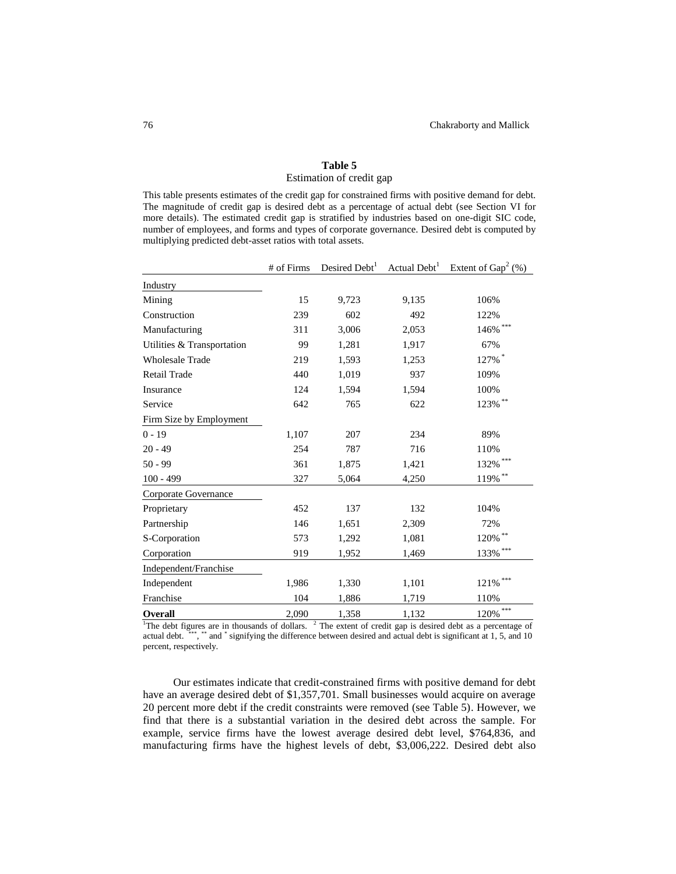# **Table 5**

# Estimation of credit gap

This table presents estimates of the credit gap for constrained firms with positive demand for debt. The magnitude of credit gap is desired debt as a percentage of actual debt (see Section VI for more details). The estimated credit gap is stratified by industries based on one-digit SIC code, number of employees, and forms and types of corporate governance. Desired debt is computed by multiplying predicted debt-asset ratios with total assets.

|                            | # of Firms | Desired Debt <sup>1</sup> | Actual Debt <sup>1</sup> | Extent of $Gap^2$ (%) |
|----------------------------|------------|---------------------------|--------------------------|-----------------------|
| Industry                   |            |                           |                          |                       |
| Mining                     | 15         | 9,723                     | 9,135                    | 106%                  |
| Construction               | 239        | 602                       | 492                      | 122%                  |
| Manufacturing              | 311        | 3,006                     | 2,053                    | $146\%$ ***           |
| Utilities & Transportation | 99         | 1,281                     | 1,917                    | 67%                   |
| <b>Wholesale Trade</b>     | 219        | 1,593                     | 1,253                    | 127%*                 |
| Retail Trade               | 440        | 1,019                     | 937                      | 109%                  |
| Insurance                  | 124        | 1,594                     | 1,594                    | 100%                  |
| Service                    | 642        | 765                       | 622                      | $123\%$ **            |
| Firm Size by Employment    |            |                           |                          |                       |
| $0 - 19$                   | 1,107      | 207                       | 234                      | 89%                   |
| $20 - 49$                  | 254        | 787                       | 716                      | 110%                  |
| $50 - 99$                  | 361        | 1,875                     | 1,421                    | $132\%$ ***           |
| $100 - 499$                | 327        | 5,064                     | 4,250                    | $119\%$ **            |
| Corporate Governance       |            |                           |                          |                       |
| Proprietary                | 452        | 137                       | 132                      | 104%                  |
| Partnership                | 146        | 1,651                     | 2,309                    | 72%                   |
| S-Corporation              | 573        | 1,292                     | 1,081                    | $120\%$ $^{**}$       |
| Corporation                | 919        | 1,952                     | 1,469                    | $133\%$ ***           |
| Independent/Franchise      |            |                           |                          |                       |
| Independent                | 1,986      | 1,330                     | 1,101                    | ***<br>121%           |
| Franchise                  | 104        | 1,886                     | 1,719                    | 110%                  |
| Overall                    | 2,090      | 1,358                     | 1,132                    | ***<br>120%           |

<sup>1</sup>The debt figures are in thousands of dollars.  $2$  The extent of credit gap is desired debt as a percentage of actual debt. <sup>\*\*\*</sup>, \*\* and \* signifying the difference between desired and actual debt is significant at 1, 5, and 10 percent, respectively.

Our estimates indicate that credit-constrained firms with positive demand for debt have an average desired debt of \$1,357,701. Small businesses would acquire on average 20 percent more debt if the credit constraints were removed (see Table 5). However, we find that there is a substantial variation in the desired debt across the sample. For example, service firms have the lowest average desired debt level, \$764,836, and manufacturing firms have the highest levels of debt, \$3,006,222. Desired debt also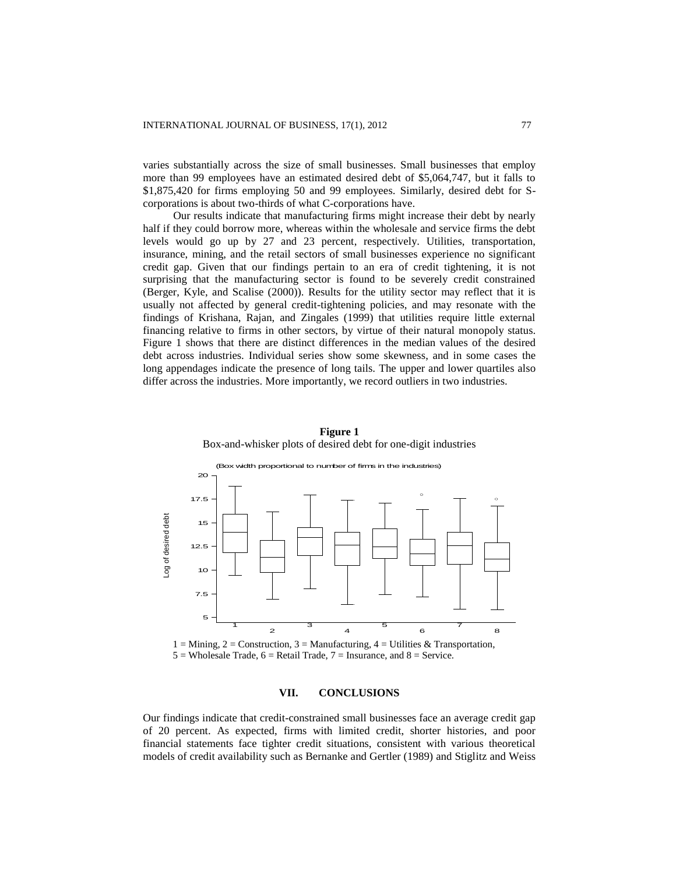varies substantially across the size of small businesses. Small businesses that employ more than 99 employees have an estimated desired debt of \$5,064,747, but it falls to \$1,875,420 for firms employing 50 and 99 employees. Similarly, desired debt for Scorporations is about two-thirds of what C-corporations have.

Our results indicate that manufacturing firms might increase their debt by nearly half if they could borrow more, whereas within the wholesale and service firms the debt levels would go up by 27 and 23 percent, respectively. Utilities, transportation, insurance, mining, and the retail sectors of small businesses experience no significant credit gap. Given that our findings pertain to an era of credit tightening, it is not surprising that the manufacturing sector is found to be severely credit constrained (Berger, Kyle, and Scalise (2000)). Results for the utility sector may reflect that it is usually not affected by general credit-tightening policies, and may resonate with the findings of Krishana, Rajan, and Zingales (1999) that utilities require little external financing relative to firms in other sectors, by virtue of their natural monopoly status. Figure 1 shows that there are distinct differences in the median values of the desired debt across industries. Individual series show some skewness, and in some cases the long appendages indicate the presence of long tails. The upper and lower quartiles also differ across the industries. More importantly, we record outliers in two industries.



**Figure 1** Box-and-whisker plots of desired debt for one-digit industries

 $1 =$  Mining,  $2 =$  Construction,  $3 =$  Manufacturing,  $4 =$  Utilities & Transportation,  $5 =$  Wholesale Trade,  $6 =$  Retail Trade,  $7 =$  Insurance, and  $8 =$  Service.

#### **VII. CONCLUSIONS**

Our findings indicate that credit-constrained small businesses face an average credit gap of 20 percent. As expected, firms with limited credit, shorter histories, and poor financial statements face tighter credit situations, consistent with various theoretical models of credit availability such as Bernanke and Gertler (1989) and Stiglitz and Weiss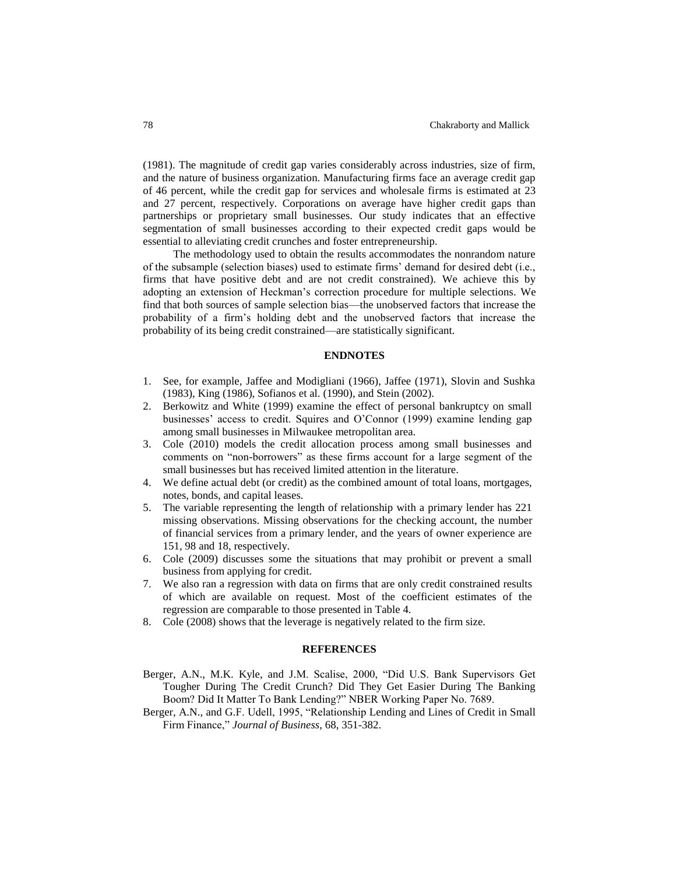(1981). The magnitude of credit gap varies considerably across industries, size of firm, and the nature of business organization. Manufacturing firms face an average credit gap of 46 percent, while the credit gap for services and wholesale firms is estimated at 23 and 27 percent, respectively. Corporations on average have higher credit gaps than partnerships or proprietary small businesses. Our study indicates that an effective segmentation of small businesses according to their expected credit gaps would be essential to alleviating credit crunches and foster entrepreneurship.

The methodology used to obtain the results accommodates the nonrandom nature of the subsample (selection biases) used to estimate firms' demand for desired debt (i.e., firms that have positive debt and are not credit constrained). We achieve this by adopting an extension of Heckman's correction procedure for multiple selections. We find that both sources of sample selection bias—the unobserved factors that increase the probability of a firm's holding debt and the unobserved factors that increase the probability of its being credit constrained—are statistically significant.

### **ENDNOTES**

- 1. See, for example, Jaffee and Modigliani (1966), Jaffee (1971), Slovin and Sushka (1983), King (1986), Sofianos et al. (1990), and Stein (2002).
- 2. Berkowitz and White (1999) examine the effect of personal bankruptcy on small businesses' access to credit. Squires and O'Connor (1999) examine lending gap among small businesses in Milwaukee metropolitan area.
- 3. Cole (2010) models the credit allocation process among small businesses and comments on "non-borrowers" as these firms account for a large segment of the small businesses but has received limited attention in the literature.
- 4. We define actual debt (or credit) as the combined amount of total loans, mortgages, notes, bonds, and capital leases.
- 5. The variable representing the length of relationship with a primary lender has 221 missing observations. Missing observations for the checking account, the number of financial services from a primary lender, and the years of owner experience are 151, 98 and 18, respectively.
- 6. Cole (2009) discusses some the situations that may prohibit or prevent a small business from applying for credit.
- 7. We also ran a regression with data on firms that are only credit constrained results of which are available on request. Most of the coefficient estimates of the regression are comparable to those presented in Table 4.
- 8. Cole (2008) shows that the leverage is negatively related to the firm size.

## **REFERENCES**

- Berger, A.N., M.K. Kyle, and J.M. Scalise, 2000, "Did U.S. Bank Supervisors Get Tougher During The Credit Crunch? Did They Get Easier During The Banking Boom? Did It Matter To Bank Lending?" NBER Working Paper No. 7689.
- Berger, A.N., and G.F. Udell, 1995, "Relationship Lending and Lines of Credit in Small Firm Finance," *Journal of Business*, 68, 351-382.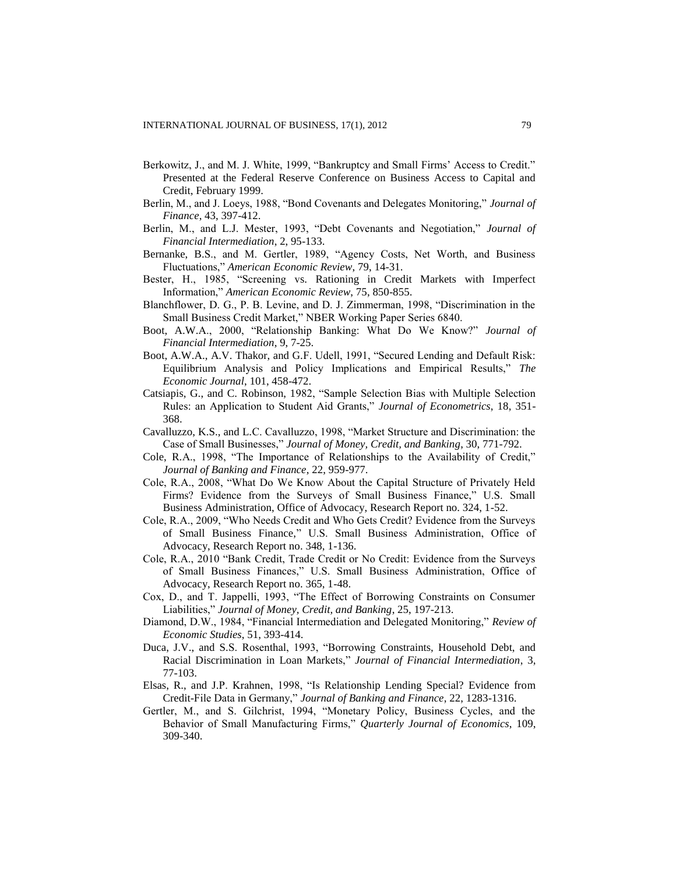- Berkowitz, J., and M. J. White, 1999, "Bankruptcy and Small Firms' Access to Credit." Presented at the Federal Reserve Conference on Business Access to Capital and Credit, February 1999.
- Berlin, M., and J. Loeys, 1988, "Bond Covenants and Delegates Monitoring," *Journal of Finance*, 43, 397-412.
- Berlin, M., and L.J. Mester, 1993, "Debt Covenants and Negotiation," *Journal of Financial Intermediation*, 2, 95-133.
- Bernanke, B.S., and M. Gertler, 1989, "Agency Costs, Net Worth, and Business Fluctuations," *American Economic Review*, 79, 14-31.
- Bester, H., 1985, "Screening vs. Rationing in Credit Markets with Imperfect Information," *American Economic Review*, 75, 850-855.
- Blanchflower, D. G., P. B. Levine, and D. J. Zimmerman, 1998, "Discrimination in the Small Business Credit Market," NBER Working Paper Series 6840.
- Boot, A.W.A., 2000, "Relationship Banking: What Do We Know?" *Journal of Financial Intermediation*, 9, 7-25.
- Boot, A.W.A., A.V. Thakor, and G.F. Udell, 1991, "Secured Lending and Default Risk: Equilibrium Analysis and Policy Implications and Empirical Results," *The Economic Journal*, 101, 458-472.
- Catsiapis, G., and C. Robinson, 1982, "Sample Selection Bias with Multiple Selection Rules: an Application to Student Aid Grants," *Journal of Econometrics*, 18, 351- 368.
- Cavalluzzo, K.S., and L.C. Cavalluzzo, 1998, "Market Structure and Discrimination: the Case of Small Businesses," *Journal of Money, Credit, and Banking*, 30, 771-792.
- Cole, R.A., 1998, "The Importance of Relationships to the Availability of Credit," *Journal of Banking and Finance*, 22, 959-977.
- Cole, R.A., 2008, "What Do We Know About the Capital Structure of Privately Held Firms? Evidence from the Surveys of Small Business Finance," U.S. Small Business Administration, Office of Advocacy, Research Report no. 324, 1-52.
- Cole, R.A., 2009, "Who Needs Credit and Who Gets Credit? Evidence from the Surveys of Small Business Finance," U.S. Small Business Administration, Office of Advocacy, Research Report no. 348, 1-136.
- Cole, R.A., 2010 "Bank Credit, Trade Credit or No Credit: Evidence from the Surveys of Small Business Finances," U.S. Small Business Administration, Office of Advocacy, Research Report no. 365, 1-48.
- Cox, D., and T. Jappelli, 1993, "The Effect of Borrowing Constraints on Consumer Liabilities," *Journal of Money, Credit, and Banking*, 25, 197-213.
- Diamond, D.W., 1984, "Financial Intermediation and Delegated Monitoring," *Review of Economic Studies*, 51, 393-414.
- Duca, J.V., and S.S. Rosenthal, 1993, "Borrowing Constraints, Household Debt, and Racial Discrimination in Loan Markets," *Journal of Financial Intermediation*, 3, 77-103.
- Elsas, R., and J.P. Krahnen, 1998, "Is Relationship Lending Special? Evidence from Credit-File Data in Germany," *Journal of Banking and Finance*, 22, 1283-1316.
- Gertler, M., and S. Gilchrist, 1994, "Monetary Policy, Business Cycles, and the Behavior of Small Manufacturing Firms," *Quarterly Journal of Economics*, 109, 309-340.